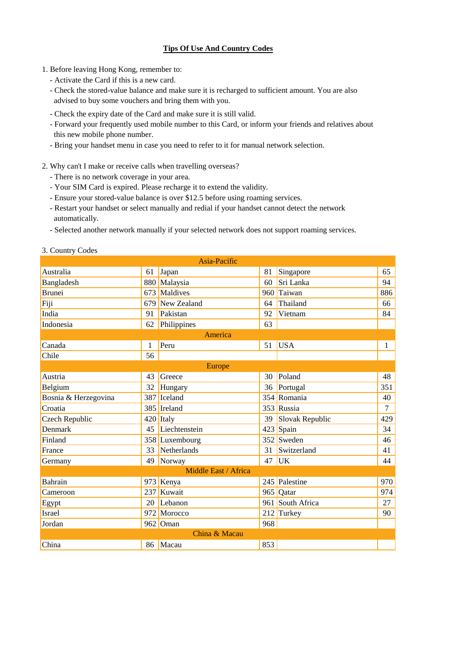## **Tips Of Use And Country Codes**

- 1. Before leaving Hong Kong, remember to:
	- Activate the Card if this is a new card.
	- Check the stored-value balance and make sure it is recharged to sufficient amount. You are also advised to buy some vouchers and bring them with you.
	- Check the expiry date of the Card and make sure it is still valid.
	- Forward your frequently used mobile number to this Card, or inform your friends and relatives about this new mobile phone number.
	- Bring your handset menu in case you need to refer to it for manual network selection.
- 2. Why can't I make or receive calls when travelling overseas?
	- There is no network coverage in your area.
	- Your SIM Card is expired. Please recharge it to extend the validity.
	- Ensure your stored-value balance is over \$12.5 before using roaming services.
	- Restart your handset or select manually and redial if your handset cannot detect the network automatically.
	- Selected another network manually if your selected network does not support roaming services.
- 3. Country Codes

|                      |    | Asia-Pacific         |     |                  |              |  |  |  |  |  |
|----------------------|----|----------------------|-----|------------------|--------------|--|--|--|--|--|
| Australia            |    | 61 Japan             | 81  | Singapore        | 65           |  |  |  |  |  |
| Bangladesh           |    | 880 Malaysia         | 60  | Sri Lanka        | 94           |  |  |  |  |  |
| <b>Brunei</b>        |    | 673 Maldives         |     | 960 Taiwan       | 886          |  |  |  |  |  |
| Fiji                 |    | 679 New Zealand      | 64  | Thailand         | 66           |  |  |  |  |  |
| India                | 91 | Pakistan             | 92  | Vietnam          | 84           |  |  |  |  |  |
| Indonesia            |    | 62 Philippines       | 63  |                  |              |  |  |  |  |  |
| America              |    |                      |     |                  |              |  |  |  |  |  |
| Canada               | 1  | Peru                 | 51  | <b>USA</b>       | $\mathbf{1}$ |  |  |  |  |  |
| Chile                | 56 |                      |     |                  |              |  |  |  |  |  |
| Europe               |    |                      |     |                  |              |  |  |  |  |  |
| Austria              | 43 | Greece               | 30  | Poland           | 48           |  |  |  |  |  |
| Belgium              |    | 32 Hungary           | 36  | Portugal         | 351          |  |  |  |  |  |
| Bosnia & Herzegovina |    | 387 Iceland          |     | 354 Romania      | 40           |  |  |  |  |  |
| Croatia              |    | 385 Ireland          |     | 353 Russia       | 7            |  |  |  |  |  |
| Czech Republic       |    | $420$ Italy          | 39  | Slovak Republic  | 429          |  |  |  |  |  |
| <b>Denmark</b>       |    | 45 Liechtenstein     |     | 423 Spain        | 34           |  |  |  |  |  |
| Finland              |    | 358 Luxembourg       |     | 352 Sweden       | 46           |  |  |  |  |  |
| France               |    | 33 Netherlands       | 31  | Switzerland      | 41           |  |  |  |  |  |
| Germany              | 49 | Norway               | 47  | <b>UK</b>        | 44           |  |  |  |  |  |
|                      |    | Middle East / Africa |     |                  |              |  |  |  |  |  |
| <b>Bahrain</b>       |    | 973 Kenya            |     | 245 Palestine    | 970          |  |  |  |  |  |
| Cameroon             |    | 237 Kuwait           |     | 965 Qatar        | 974          |  |  |  |  |  |
| Egypt                |    | $20$ Lebanon         |     | 961 South Africa | 27           |  |  |  |  |  |
| <b>Israel</b>        |    | 972 Morocco          |     | 212 Turkey       | 90           |  |  |  |  |  |
| Jordan               |    | $962$ Oman           | 968 |                  |              |  |  |  |  |  |
| China & Macau        |    |                      |     |                  |              |  |  |  |  |  |
| China                | 86 | Macau                | 853 |                  |              |  |  |  |  |  |